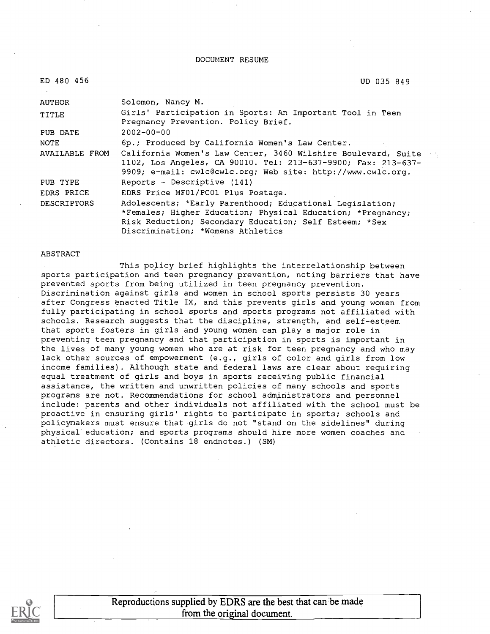DOCUMENT RESUME

| ED 480 456         | UD 035 849                                                                                                                                                                                                             |
|--------------------|------------------------------------------------------------------------------------------------------------------------------------------------------------------------------------------------------------------------|
| AUTHOR             | Solomon, Nancy M.                                                                                                                                                                                                      |
| TITLE              | Girls' Participation in Sports: An Important Tool in Teen<br>Pregnancy Prevention. Policy Brief.                                                                                                                       |
| PUB DATE           | $2002 - 00 - 00$                                                                                                                                                                                                       |
| NOTE               | 6p.; Produced by California Women's Law Center.                                                                                                                                                                        |
| AVAILABLE FROM     | California Women's Law Center, 3460 Wilshire Boulevard, Suite<br>1102, Los Angeles, CA 90010. Tel: 213-637-9900; Fax: 213-637-<br>9909; e-mail: cwlc@cwlc.org; Web site: http://www.cwlc.org.                          |
| PUB TYPE           | Reports - Descriptive (141)                                                                                                                                                                                            |
| EDRS PRICE         | EDRS Price MF01/PC01 Plus Postage.                                                                                                                                                                                     |
| <b>DESCRIPTORS</b> | Adolescents; *Early Parenthood; Educational Legislation;<br>*Females; Higher Education; Physical Education; *Pregnancy;<br>Risk Reduction; Secondary Education; Self Esteem; *Sex<br>Discrimination; *Womens Athletics |

#### ABSTRACT

This policy brief highlights the interrelationship between sports participation and teen pregnancy prevention, noting barriers that have prevented sports from being utilized in teen pregnancy prevention. Discrimination against girls and women in school sports persists 30 years after Congress enacted Title IX, and this prevents girls and young women from fully participating in school sports and sports programs not affiliated with schools. Research suggests that the discipline, strength, and self-esteem that sports fosters in girls and young women can play a major role in preventing teen pregnancy and that participation in sports is important in the lives of many young women who are at risk for teen pregnancy and who may lack other sources of empowerment (e.g., girls of color and girls from low income families) . Although state and federal laws are clear about requiring equal treatment of girls and boys in sports receiving public financial assistance, the written and unwritten policies of many schools and sports programs are not. Recommendations for school administrators and personnel include: parents and other individuals not affiliated with the school must be proactive in ensuring girls' rights to participate in sports; schools and policymakers must ensure that girls do not "stand on the sidelines" during physical education; and sports programs should hire more women coaches and athletic directors. (Contains 18 endnotes.) (SM)



Reproductions supplied by EDRS are the best that can be made from the original document.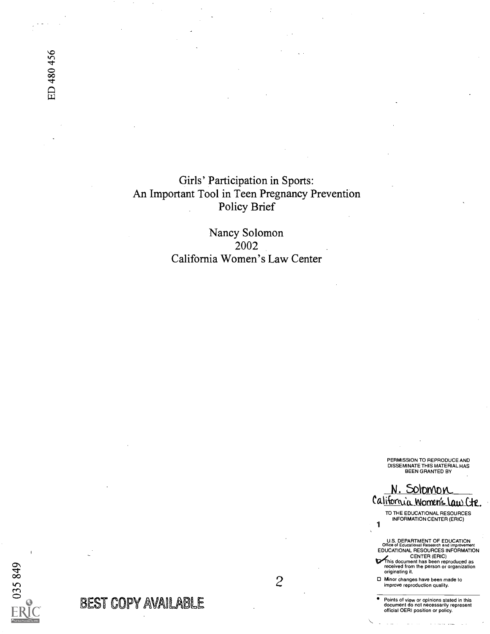ED 480 456

Girls' Participation in Sports: An Important Tool in Teen Pregnancy Prevention Policy Brief

> Nancy Solomon 2002 California Women's Law Center

> > PERMISSION TO REPRODUCE AND<br>DISSEMINATE THIS MATERIAL HAS<br>BEEN GRANTED BY

N. Solomon California Women's Law Cte.

<sup>1</sup> TO THE EDUCATIONAL RESOURCES INFORMATION CENTER (ERIC)

U.S. DEPARTMENT OF EDUCATION<br>Office of Educational Research and improvement Office of Educational Research and Improvement EDUCATIONAL RESOURCES INFORMATION

CENTER (ERIC)<br>
received from the person or organization<br>
originating it.<br>
originating it.

0 Minor changes have been made to improve reproduction quality.

Points of view or opinions stated in this document do not necessarily represent official OERI position or policy.

BEST GUPY AVAILABLE

035849

2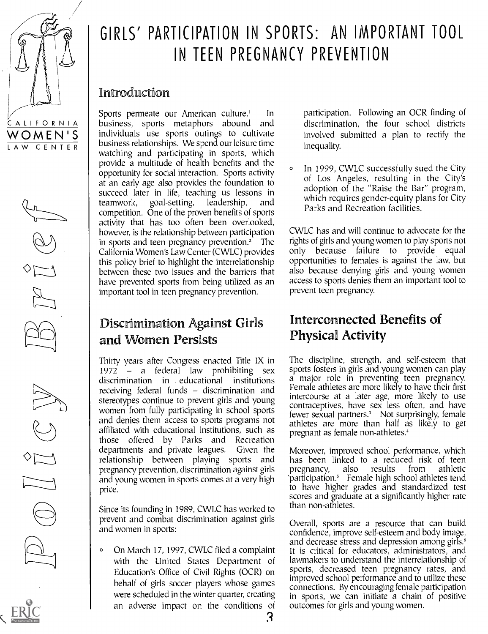

# GIRLS' PARTICIPATION IN SPORTS: AN IMPORTANT TOOL IN TEEN PREGNANCY PREVENTION

#### Introducfion

Sports permeate our American culture.' In business, sports metaphors abound and individuals use sports outings to cultivate business relationships. We spend our leisure time watching and participating in sports, which provide a multitude of health benefits and the opportunity for social interaction. Sports activity at an early age also provides the foundation to succeed later in life, teaching us lessons in teamwork, goal-setting, leadership, and competition. One of the proven benefits of sports activity that has too often been overlooked, however, is the relationship between participation in sports and teen pregnancy prevention. $2^{\circ}$  The California Women's Law Center (CWLC) provides this policy brief to highlight the interrelationship between these two issues and the barriers that have prevented sports from being utilized as an important tool in teen pregnancy prevention.

## Discrimination Against Girls and Women Persists

Thirty years after Congress enacted Title IX in 1972 a federal law prohibiting sex discrimination in educational institutions receiving federal funds – discrimination and stereotypes continue to prevent girls and young women from fully participating in school sports and denies them access to sports programs not affiliated with educational institutions, such as those offered by Parks and Recreation departments and private leagues. Given the Moreover, improved school performance, which relationship between playing sports and pregnancy prevention, discrimination against girls and young women in sports comes at a very high price.

Since its founding in 1989, CWLC has worked to prevent and combat discrimination against girls and women in sports:

<sup>o</sup> On March 17, 1997, CWLC filed a complaint with the United States Department of Education's Office of Civil Rights (OCR) on behalf of girls soccer players whose games were scheduled in the winter quarter, creating an adverse impact on the conditions of participation. Following an OCR finding of discrimination, the four school districts involved submitted a plan to rectify the inequality.

In 1999, CWLC successfully sued the City of Los Angeles, resulting in the City's adoption of the "Raise the Bar" program, which requires gender-equity plans for City Parks and Recreation facilities.

CWLC has and will continue to advocate for the rights of girls and young women to play sports not only because failure to provide equal opportunities to females is against the law, but also because denying girls and young women access to sports denies them an important tool to prevent teen pregnancy.

## Interconnected Benefits of Physical Activity

The discipline, strength, and self-esteem that sports fosters in girls and young women can play a major role in preventing teen pregnancy. Female athletes are more likely to have their first intercourse at a later age, more likely to use contraceptives, have sex less often, and have fewer sexual partners.' Not surprisingly, female athletes are more than half as likely to get pregnant as female non-athletes.<sup>4</sup>

has been linked to a reduced risk of teen<br>pregnancy, also results from athletic pregnancy, also results 'participation.' Female high school athletes tend to have higher grades and standardized test scores and graduate at a significantly higher rate than non-athletes.

Overall, sports are a resource that can build confidence, improve self-esteem and body image, and decrease stress and depression among girls.<sup>6</sup> It is critical for educators, administrators, and lawmakers to understand the interrelationship of sports, decreased teen pregnancy rates, and improved school performance and to utilize these connections. By encouraging female participation in sports, we can initiate a chain of positive outcomes for girls and young women.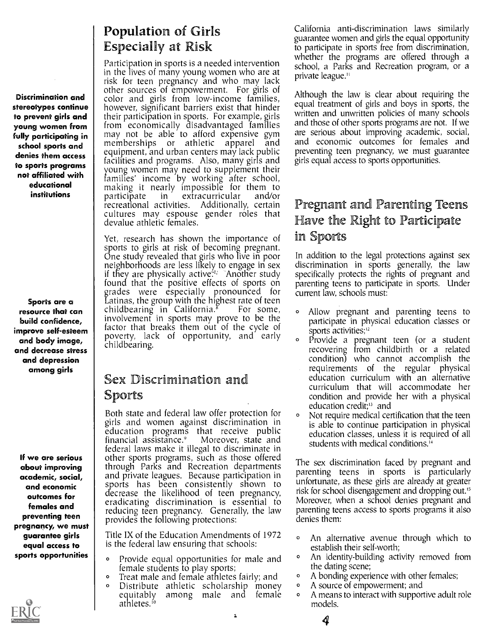stereotypes continue to prevent girls and fully participating in school sports and denies them access not affiliated with educational institutions | participate

Sports are a resource that can build confidence, improve self-esteem and body image, and decrease stress and depression among girls

about improving academic, social, and economic outcomes for preventing teen pregnancy, we must guarantee girls equal access to sports opportunities  $\begin{array}{|c|c|c|}\n\hline\n\text{ }}\text{ } & \text{ }\text{ }\text{ }\text{ }\text{ }\text{ }\text{ } & \text{ }\text{ }\text{ }\text{ }\text{ }\text{ } & \text{ } & \text{ }\text{ }\text{ } & \text{ } & \text{ } & \text{ } \end{array}$ 



## Population of Girls Especially at Risk

**Discrimination and** end other sources of empowerment. For girls of **Discrimination and** color and girls from low-income families, **young women from** from economically disadvantaged families<br>fully participating in may not be able to afford expensive gym to sports programs such that we women may need to supplement their Participation in sports is a needed intervention<br>in the lives of many young women who are at risk for teen pregnancy and who may lack however, significant barriers exist that hinder their participation in sports. For example, girls from economically disadvantaged families<br>may not be able to afford expensive gym<br>memberships or athletic apparel and memberships or athletic apparel equipment, and urban centers may lack public facilities and programs. Also, many girls and families' income by working after school, making it nearly impossible for them to<br>participate in extracurricular and/or participate in extracurricular and/or cultures may espouse gender roles that devalue athletic females.

> Yet, research has shown the importance of sports to girls at risk of becoming pregnant. One study revealed that girls who live in poor neighborhoods are less likely to engage in sex if they are physically active $\sim$  `Another study specifica found that the positive effects of sports on grades were especially pronounced for cur Latinas, the group with the highest rate of teen childbearing in California. $8$  For some,  $\circ$ involvement in sports may prove to be the bar factor that breaks them out of the cycle of poverty, lack of opportunity, and early childbearing.

#### Sex Discrimination and Sports

**If we are serious** | other sports programs, such as those offered **Exercise 3 Females and Second** eradicating discrimination is essential to Both state and federal law offer protection for girls and women against discrimination in education programs that receive public financial assistance. $9$ federal laws make it illegal to discriminate in through Parks and Recreation departments and private leagues. Because participation in sports has been consistently shown to decrease the likelihood of teen pregnancy, reducing teen pregnancy. Generally, the law provides the following protections:

> Title IX of the Education Amendments of 1972 <sub>o</sub> is the federal law ensuring that schools:

- Provide equal opportunities for male and <sup>o</sup> female students to play sports;
- Treat male and female athletes fairly; and <br>• Distribute athletic scholarship money
- Distribute athletic scholarship money of equitably among male and female of among male and female athletes.'

California anti-discrimination laws similarly guarantee women and girls the equal opportunity to participate in sports free from discrimination, whether the programs are offered through a school, a Parks and Recreation program, or a private league."

Although the law is clear about requiring the equal treatment of girls and boys in sports, the written and unwritten policies of many schools and those of other sports programs are not. If we are serious about improving academic, social, and economic outcomes for females and preventing teen pregnancy, we must guarantee girls equal access to sports opportunities.

### Pregnant and Parenting Teens Have the Right to Participate in Sports

In addition to the legal protections against sex discrimination in sports generally, the law specifically protects the rights of pregnant and parenting teens to participate in sports. Under current law, schools must:

- <sup>o</sup> Allow pregnant and parenting teens to participate in physical education classes or sports activities;<sup>12</sup>
- Provide a pregnant teen (or a student recovering from childbirth or a related condition) who cannot accomplish the requirements of the regular physical education curriculum with an alternative curriculum that will accommodate her condition and provide her with a physical education credit;<sup>13</sup> and
- Not require medical certification that the teen is able to continue participation in physical education classes, unless it is required of all students with medical conditions.<sup>14</sup>

The sex discrimination faced by pregnant and parenting teens in sports is particularly unfortunate, as these girls are already at greater risk for school disengagement and dropping out.<sup>15</sup> Moreover, when a school denies pregnant and parenting teens access to sports programs it also denies them:

- An alternative avenue through which to establish their self-worth;
- An identity-building activity removed from the dating scene;
- A bonding experience with other females;
- A source of empowerment; and

4

A means to interact with supportive adult role models.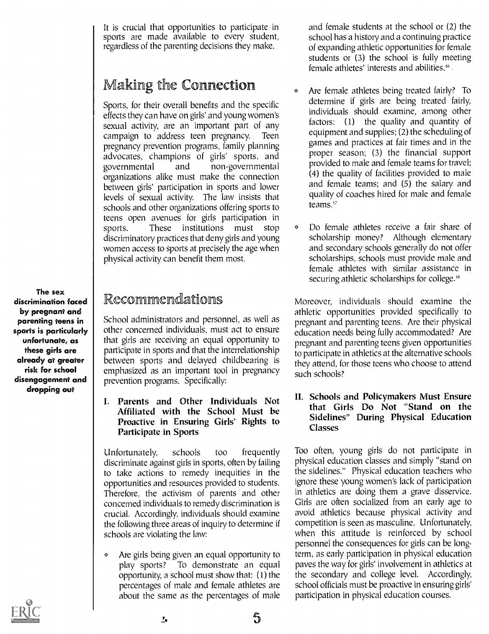It is crucial that opportunities to participate in sports are made available to every student, regardless of the parenting decisions they make.

## Making the Connection

Sports, for their overall benefits and the specific effects they can have on girls' and young women's sexual activity, are an important part of any campaign to address teen pregnancy. Teen pregnancy prevention programs, family planning advocates, champions of girls' sports, and governmental and non-governmental organizations alike must make the connection between girls' participation in sports and lower levels of sexual activity. The law insists that schools and other organizations offering sports to teens open avenues for girls participation in sports. These institutions must stop  $\circ$ discriminatory practices that deny girls and young women access to sports at precisely the age when physical activity can benefit them most.

The sex discrimination faced by pregnant and parenting teens in sports is particularly unfortunate, as these girls are already at greater risk for school disengagement and dropping out

### Recommendations

School administrators and personnel, as well as other concerned individuals, must act to ensure that girls are receiving an equal opportunity to participate in sports and that the interrelationship between sports and delayed childbearing is emphasized as an important tool in pregnancy prevention programs. Specifically:

I. Parents and Other Individuals Not Affiliated with the School Must be Proactive in Ensuring Girls' Rights to Participate in Sports

Unfortunately, schools too frequently discriminate against girls in sports, often by failing to take actions to remedy inequities in the opportunities and resources provided to students. Therefore, the activism of parents and other concerned individuals to remedy discrimination is crucial. Accordingly, individuals should examine the following three areas of inquiry to determine if schools are violating the law:

<sup>o</sup> Are girls being given an equal opportunity to play sports? To demonstrate an equal opportunity, a school must show that: (1) the percentages of male and female athletes are about the same as the percentages of male

and female students at the school or (2) the school has a history and a continuing practice of expanding athletic opportunities for female students or (3) the school is fully meeting female athletes' interests and abilities.'6

- Are female athletes being treated fairly? To determine if girls are being treated fairly, individuals should examine, among other factors: (1) the quality and quantity of equipment and supplies; (2) the scheduling of games and practices at fair times and in the proper season; (3) the financial support provided to male and female teams for travel; (4) the quality of facilities provided to male and female teams; and (5) the salary and quality of coaches hired for male and female teams.'7
- <sup>0</sup> Do female athletes receive a fair share of scholarship money? Although elementary and secondary schools generally do not offer scholarships, schools must provide male and female athletes with similar assistance in securing athletic scholarships for college.<sup>18</sup>

Moreover, individuals should examine the athletic opportunities provided specifically to pregnant and parenting teens. Are their physical education needs being fully accommodated? Are pregnant and parenting teens given opportunities to participate in athletics at the alternative schools they attend, for those teens who choose to attend such schools?

II. Schools and Policymakers Must Ensure that Girls Do Not "Stand on the Sidelines" During Physical Education Classes

Too often, young girls do not participate in physical education classes and simply "stand on the sidelines." Physical education teachers who ignore these young women's lack of participation in athletics are doing them a grave disservice. Girls are often socialized from an early age to avoid athletics because physical activity and competition is seen as masculine. Unfortunately, when this attitude is reinforced by school personnel the consequences for girls can be longterm, as early participation in physical education paves the way for girls' involvement in athletics at the secondary and college level. Accordingly, school officials must be proactive in ensuring girls' participation in physical education courses.



 $5\overline{)}$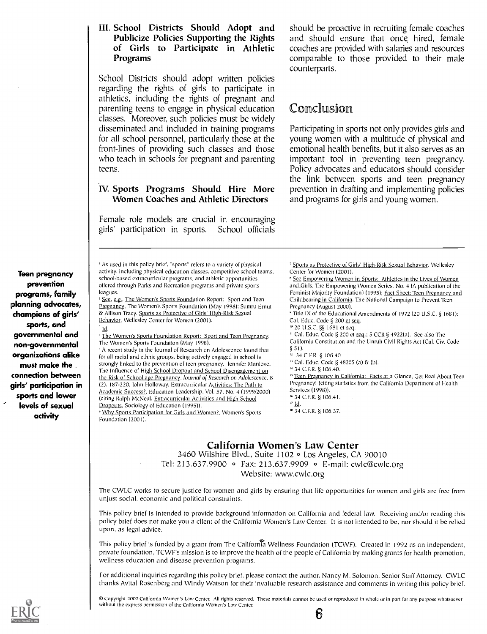#### III. School Districts Should Adopt and Publicize Policies Supporting the Rights of Girls to Participate in Athletic Programs

School Districts should adopt written policies regarding the rights of girls to participate in athletics, including the rights of pregnant and parenting teens to engage in physical education classes. Moreover, such policies must be widely disseminated and included in training programs for all school personnel, particularly those at the front-lines of providing such classes and those who teach in schools for pregnant and parenting teens.

#### IV. Sports Programs Should Hire More Women Coaches and Athletic Directors

Female role models are crucial in encouraging girls' participation in sports. School officials

should be proactive in recruiting female coaches and should ensure that once hired, female coaches are provided with salaries and resources comparable to those provided to their male counterparts.

#### Conclusion

Participating in sports not only provides girls and young women with a multitude of physical and emotional health benefits, but it also serves as an important tool in preventing teen pregnancy. Policy advocates and educators should consider the link between sports and teen pregnancy prevention in drafting and implementing policies and programs for girls and young women.

Teen pregnancy prevention programs, family planning advocates, champions of girls' sports, and governmental and non-governmental organizations alike must make the connection between girls' participation in sports and lower levels of sexual activity

' As used in this policy brief, "sports" refers to a variety of physical activity, including physical education classes, competitive school teams, school-based extracurricular programs, and athletic opportunities offered through Parks and Recreation programs and private sports leagues.

<sup>2</sup> See, e.g., The Women's Sports Foundation Report: Sport and Teen Pregnancy, The Women's Sports Foundation (May 1998): Sumru Ernut & Allison Tracy, Sports as Protective of Girls' High-Risk Sexual Behavior, Wellesley Center for Women (2001).

Id. <sup>1</sup> The Women's Sports Foundation Report: Sport and Teen Pregnancy, The Women's Sports Foundation (May 1998).

' A recent study in the Iournal of Research on Adolescence found that for all racial and cthnic groups, being actively engaged in school is strongly linked to the prevention of teen pregnancy. lennifer Manlove, The Influence of High School Dropout and School Disengagement on the Risk of School-age Pregnancy. fournal of Research on Adolescence, 8 (2), 187-220; John Holloway, Extracurricular Activities: The Path to Academic Success?, Education Leadership, Vol. 57, No. 4 (1999/2000) (citing Ralph McNeal. Extracurricular Activities and High School Dropouts, Sociology of Education (1995)). <sup>6</sup> Why Sports Participation for Girls and Women?, Women's Sports

Foundation (2001).

Sports as Protective of Girls' High-Risk Sexual Behavior, Wellesley Center for Women (2001).

<sup>8</sup> See Empowering Women in Sports: Athletics in the Lives of Women and Girls, The Empowering Women Series, No. 4 (A publication of the Feminist Majority Foundation) (1995); Fact Sheet: Teen Pregnancy and Childbearing in California, The National Campaign to Prevent Teen Pregnancy (August 2000). <sup>\*</sup> Title IX of the Educational Amendments of 1972 (20 U.S.C. § 1681); Cal. Educ. Code § 200 et seq. <sup>10</sup> 20 U.S.C. §§ 1681 et seq. " Cal. Educ. Code § 200 et seq.; 5 CCR § 4922(a). See also The California Constitution and the Unruh Civil Rights Act (Cal. Civ. Code § 51). <sup>12</sup> 34 C.F.R. § 106.40. " Cal. Educ. Codc § 48205 (a) & (b). " 34 C.F.R. § 106.40.

<sup>15</sup> Teen Pregnancy in California: Facts at a Glance, Get Real About Teen Pregnancy! (citing statistics from the California Department of Health Services (1998)). 34 C.F.R. § 106.41.

- $17$  Id.
- 34 C.F.R. § 106.37.

#### California Women's Law Center

3460 Wilshire Blvd., Suite 1102 0 Los Angeles, CA 90010

Tel: 213.637.9900 • Fax: 213.637.9909 • E-mail: cwlc@cwlc.org

Website: www.cwlc.org

The CWLC works to secure justice for women and girls by ensuring that life opportunities for women and girls are free from unjust social, economic and political constraints.

This policy brief is intended to provide background information on California and federal law. Receiving and/or reading this policy brief does not make you a client of the California Women's Law Center. It is not intended to be, nor should it be relied upon, as legal advice.

This policy brief is funded by a grant from The California Wellness Foundation (TCWF). Created in 1992 as an independent, private foundation, TCWF's mission is to improve the health of the people of California by making grants for health promotion, wellness education and disease prevention programs.

For additional inquiries regarding this policy brief, please contact the author, Nancy M. Solomon, Senior Staff Attorney. CWLC thanks Avital Rosenberg and Windy Watson for their invaluable research assistance and comments in writing this policy brief.

0 Copyright 2002 California Women's Law Center. All rights reserved. These materials cannot be used or reproduced in whole or in part for any purpose whatsoever without the express permission of the California Women's Law Center.

b

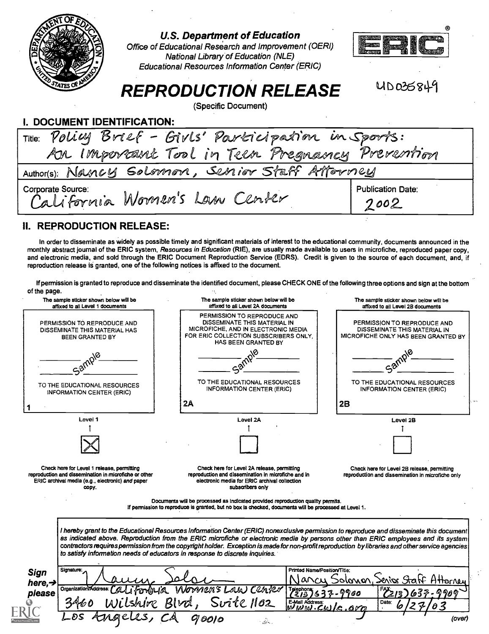

#### U.S. Department of Education

Office of Educational Research and Improvement (OERI) National Library of Education (NLE) Educational Resources Information Center (ERIC)



Ub 036341

## REPRODUCTION RELEASE

(Specific Document)

| I. DOCUMENT IDENTIFICATION:                           |                                  |
|-------------------------------------------------------|----------------------------------|
| Title: Policy Brief - Givls' Participation in Sports: |                                  |
| Ar Important Tool in Teen Pregnancy Prevention        |                                  |
| Author(s): Nancy Solomon, Senior Staff Attorney       |                                  |
| Corporate Source:<br>California Women's Law Center    | <b>Publication Date:</b><br>2002 |

#### II. REPRODUCTION RELEASE:

In order to disseminate as widely as possible timely and significant materials of interest to the educational community, documents announced in the monthly abstract journal of the ERIC system, Resources in Education (RIE), are usually made available to users in microfiche, reproduced paper copy, and electronic media, and sold through the ERIC Document Reproduction Service (EDRS). Credit is given to the source of each document, and, if reproduction release is granted, one of the following notices is affixed to the document.

If permission is granted to reproduce and disseminate the identified document, please CHECK ONE of the following three options and sign at the bottom of the page.

|                                    | The sample sticker shown below will be<br>affixed to all Level 1 documents                                                                                       | The sample sticker shown below will be<br>affixed to all Level 2A documents                                                                                                                                                                                                                                                                                           | The sample sticker shown below will be<br>affixed to all Level 2B documents                                                              |
|------------------------------------|------------------------------------------------------------------------------------------------------------------------------------------------------------------|-----------------------------------------------------------------------------------------------------------------------------------------------------------------------------------------------------------------------------------------------------------------------------------------------------------------------------------------------------------------------|------------------------------------------------------------------------------------------------------------------------------------------|
|                                    | PERMISSION TO REPRODUCE AND<br>DISSEMINATE THIS MATERIAL HAS<br><b>BEEN GRANTED BY</b>                                                                           | PERMISSION TO REPRODUCE AND<br>DISSEMINATE THIS MATERIAL IN<br>MICROFICHE, AND IN ELECTRONIC MEDIA<br>FOR ERIC COLLECTION SUBSCRIBERS ONLY,<br>HAS BEEN GRANTED BY                                                                                                                                                                                                    | PERMISSION TO REPRODUCE AND<br>DISSEMINATE THIS MATERIAL IN<br>MICROFICHE ONLY HAS BEEN GRANTED BY                                       |
|                                    | TO THE EDUCATIONAL RESOURCES                                                                                                                                     | TO THE EDUCATIONAL RESOURCES                                                                                                                                                                                                                                                                                                                                          | TO THE EDUCATIONAL RESOURCES                                                                                                             |
|                                    | <b>INFORMATION CENTER (ERIC)</b>                                                                                                                                 | <b>INFORMATION CENTER (ERIC)</b>                                                                                                                                                                                                                                                                                                                                      | <b>INFORMATION CENTER (ERIC)</b>                                                                                                         |
|                                    |                                                                                                                                                                  | 2A                                                                                                                                                                                                                                                                                                                                                                    | 2B                                                                                                                                       |
|                                    | Level 1                                                                                                                                                          | Level 2A                                                                                                                                                                                                                                                                                                                                                              | Level 2B                                                                                                                                 |
|                                    |                                                                                                                                                                  |                                                                                                                                                                                                                                                                                                                                                                       |                                                                                                                                          |
|                                    | Check here for Level 1 release, permitting<br>reproduction and dissemination in microfiche or other<br>ERIC archival media (e.g., electronic) and paper<br>copy. | Check here for Level 2A release, permitting<br>reproduction and dissemination in microfiche and in<br>electronic media for ERIC archival collection<br>subscribers only                                                                                                                                                                                               | Check here for Level 2B release, permitting<br>reproduction and dissemination in microfiche only                                         |
|                                    |                                                                                                                                                                  | Documents will be processed as indicated provided reproduction quality permits.<br>If permission to reproduce is granted, but no box is checked, documents will be processed at Level 1.                                                                                                                                                                              |                                                                                                                                          |
|                                    |                                                                                                                                                                  | as indicated above. Reproduction from the ERIC microfiche or electronic media by persons other than ERIC employees and its system<br>contractors requires permission from the copyright holder. Exception is made for non-profit reproduction by libraries and other service agencies<br>to satisfy information needs of educators in response to discrete inquiries. | I hereby grant to the Educational Resources Information Center (ERIC) nonexclusive permission to reproduce and disseminate this document |
| <b>Sign</b><br>here, $\rightarrow$ | Signature:<br>Organization/Address                                                                                                                               | mens Law Center                                                                                                                                                                                                                                                                                                                                                       | Printed Name/Position/Title:<br>olonon, Serios Statif Attorney                                                                           |
| please                             |                                                                                                                                                                  | $Srite$ $1162$<br>Blud,<br>E-Mail Address:<br>שונטוש                                                                                                                                                                                                                                                                                                                  | 960<br>Date:<br>O 3                                                                                                                      |
|                                    |                                                                                                                                                                  |                                                                                                                                                                                                                                                                                                                                                                       | (over)                                                                                                                                   |
|                                    |                                                                                                                                                                  |                                                                                                                                                                                                                                                                                                                                                                       |                                                                                                                                          |